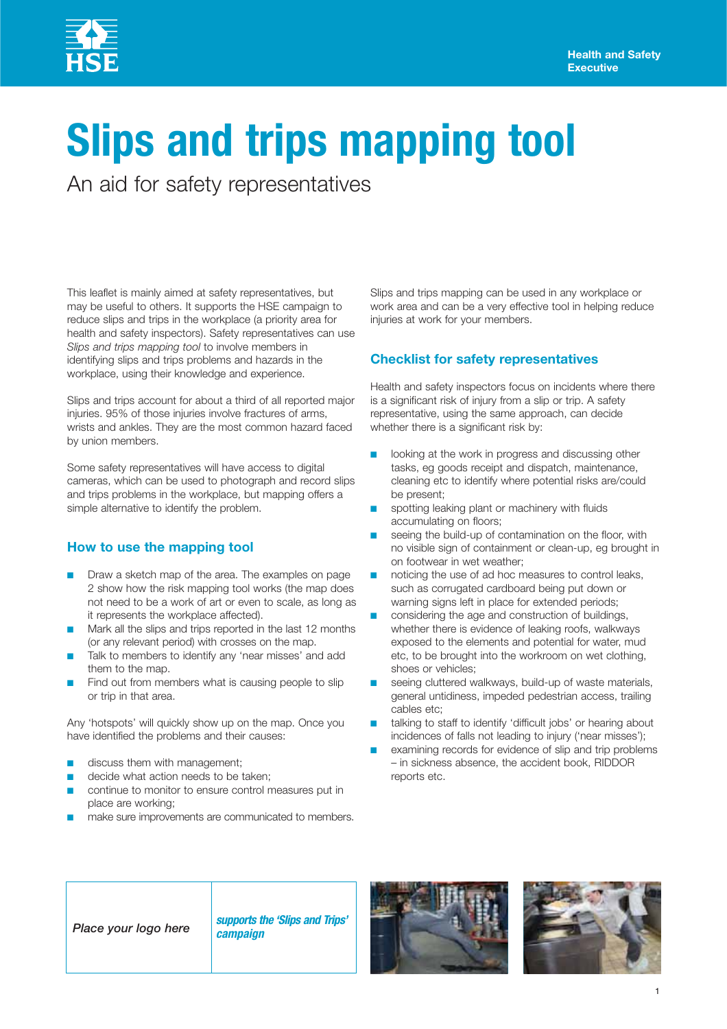# **Slips and trips mapping tool**

An aid for safety representatives

This leaflet is mainly aimed at safety representatives, but may be useful to others. It supports the HSE campaign to reduce slips and trips in the workplace (a priority area for health and safety inspectors). Safety representatives can use *Slips and trips mapping tool* to involve members in identifying slips and trips problems and hazards in the workplace, using their knowledge and experience.

Slips and trips account for about a third of all reported major injuries. 95% of those injuries involve fractures of arms, wrists and ankles. They are the most common hazard faced by union members.

Some safety representatives will have access to digital cameras, which can be used to photograph and record slips and trips problems in the workplace, but mapping offers a simple alternative to identify the problem.

### **How to use the mapping tool**

- Draw a sketch map of the area. The examples on page 2 show how the risk mapping tool works (the map does not need to be a work of art or even to scale, as long as it represents the workplace affected).
- Mark all the slips and trips reported in the last 12 months (or any relevant period) with crosses on the map.
- Talk to members to identify any 'near misses' and add them to the map.
- Find out from members what is causing people to slip or trip in that area.

Any 'hotspots' will quickly show up on the map. Once you have identified the problems and their causes:

- discuss them with management;
- decide what action needs to be taken;
- continue to monitor to ensure control measures put in place are working;
- make sure improvements are communicated to members.

Slips and trips mapping can be used in any workplace or work area and can be a very effective tool in helping reduce injuries at work for your members.

### **Checklist for safety representatives**

Health and safety inspectors focus on incidents where there is a significant risk of injury from a slip or trip. A safety representative, using the same approach, can decide whether there is a significant risk by:

- looking at the work in progress and discussing other tasks, eg goods receipt and dispatch, maintenance, cleaning etc to identify where potential risks are/could be present;
- spotting leaking plant or machinery with fluids accumulating on floors;
- seeing the build-up of contamination on the floor, with no visible sign of containment or clean-up, eg brought in on footwear in wet weather;
- noticing the use of ad hoc measures to control leaks, such as corrugated cardboard being put down or warning signs left in place for extended periods;
- considering the age and construction of buildings, whether there is evidence of leaking roofs, walkways exposed to the elements and potential for water, mud etc, to be brought into the workroom on wet clothing, shoes or vehicles;
- seeing cluttered walkways, build-up of waste materials, general untidiness, impeded pedestrian access, trailing cables etc;
- talking to staff to identify 'difficult jobs' or hearing about incidences of falls not leading to injury ('near misses');
- examining records for evidence of slip and trip problems – in sickness absence, the accident book, RIDDOR reports etc.

## *Place your logo here supports the 'Slips and Trips'*

*campaign*



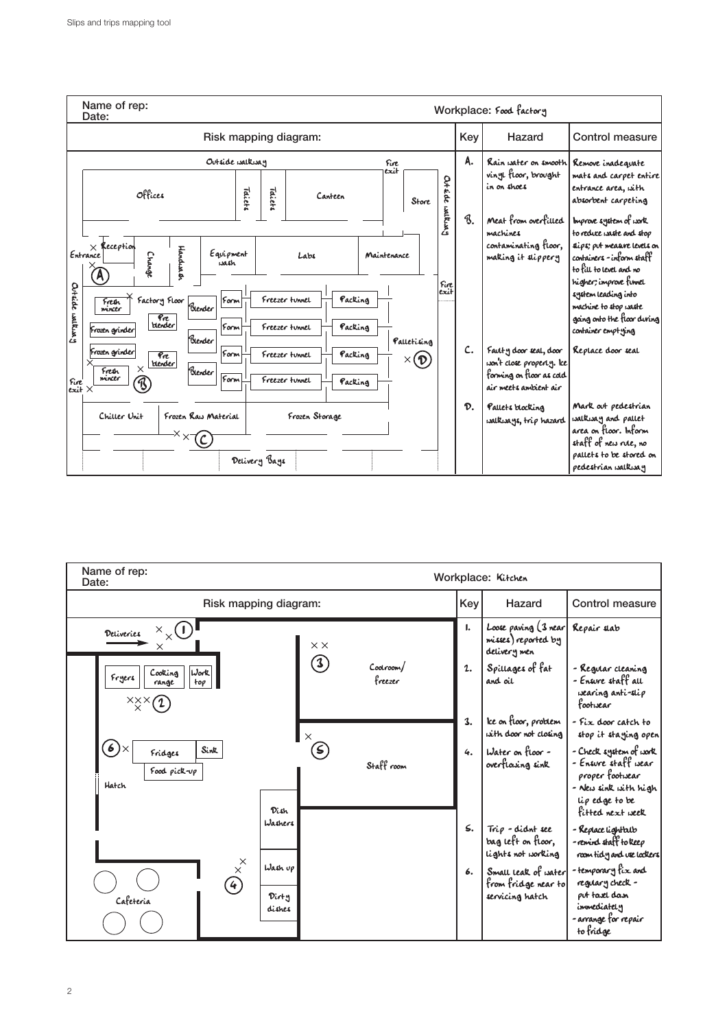

| Name of rep:<br>Date:                                                             | Workplace: Kitchen         |                      |              |                                                               |                                                                                                                                |
|-----------------------------------------------------------------------------------|----------------------------|----------------------|--------------|---------------------------------------------------------------|--------------------------------------------------------------------------------------------------------------------------------|
| Risk mapping diagram:                                                             |                            |                      | Key          | Hazard                                                        | Control measure                                                                                                                |
| $\times_{\times}$ <sup>(1)</sup><br>Deliveries                                    | $\times$ $\times$          |                      | ı.           | Loose paving (3 near<br>misses) reported by<br>delivery men   | Repair slab                                                                                                                    |
| Work<br>Cooking<br>Fryers<br>top<br>range<br>×××                                  | $\mathbf{3)}$              | Coolroom/<br>freezer | $\mathbf{2}$ | Spillages of fat<br>and oil                                   | - Regular cleaning<br>- Ensure staff all<br>wearing anti-slip<br>footwear                                                      |
|                                                                                   | $\times$                   |                      | 3.           | Ice on floor, problem<br>with door not closing                | - Fix door catch to<br>stop it staging open                                                                                    |
| 6)<br>Sink<br>Fridges<br>Food pick $\neg p$<br>Hatch<br>Dish                      | $\left( \mathsf{s}\right)$ | Staff room           | 4.           | Water on floor -<br>overflasing sink                          | - Check system of work<br>- Ensure staff wear<br>proper footwear<br>- New sink with high<br>lip edge to be<br>fifted next week |
| Washers                                                                           |                            |                      | $\leq$ .     | Trip - didnt see<br>bag left on floor,<br>lights not working  | - Replace lightalb<br>-remind staff to keep<br>room tidy and use lockers                                                       |
| $\times^{\times}$<br>Wash up<br>$\left( 4\right)$<br>Dirty<br>Cafeteria<br>dishes |                            |                      | 6.           | Small leak of water<br>from fridge near to<br>servicing hatch | -temporary fix and<br>regulary check -<br>put tasel dasn<br>immediately<br>-arrange for repair<br>to fridge                    |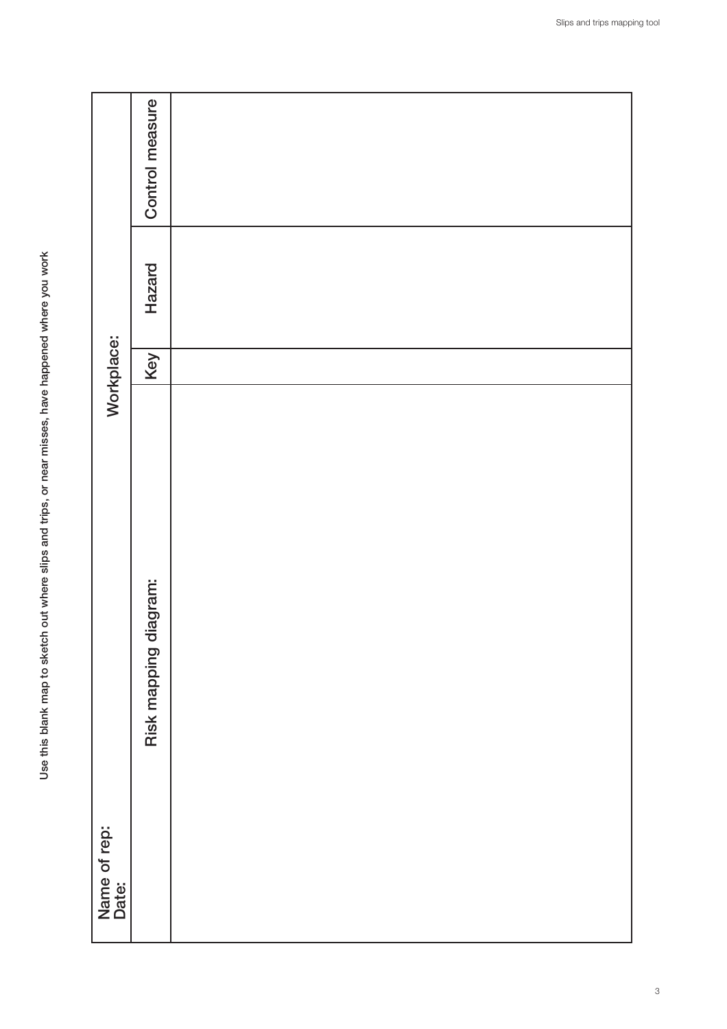|                       | Control measure          |  |
|-----------------------|--------------------------|--|
|                       | Hazard                   |  |
| Workplace:            | Key                      |  |
| Name of rep:<br>Date: | diagram:<br>Risk mapping |  |
|                       |                          |  |